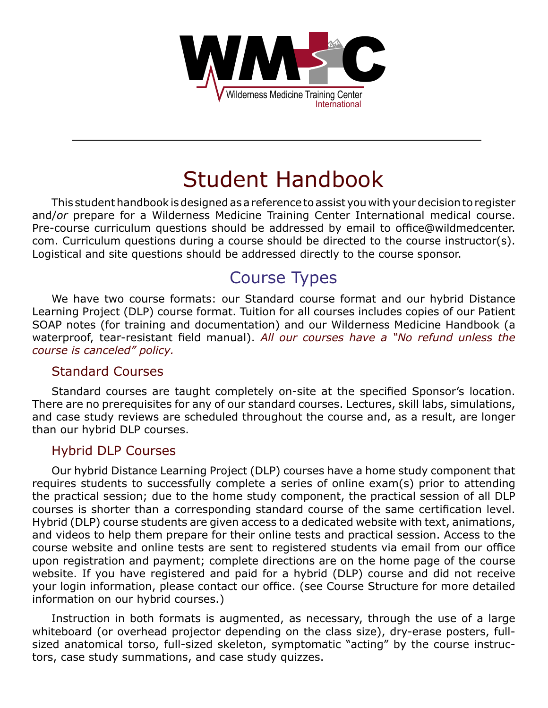

# Student Handbook

This student handbook is designed as a reference to assist you with your decision to register and/*or* prepare for a Wilderness Medicine Training Center International medical course. Pre-course curriculum questions should be addressed by email to office@wildmedcenter. com. Curriculum questions during a course should be directed to the course instructor(s). Logistical and site questions should be addressed directly to the course sponsor.

# Course Types

We have two course formats: our Standard course format and our hybrid Distance Learning Project (DLP) course format. Tuition for all courses includes copies of our Patient SOAP notes (for training and documentation) and our Wilderness Medicine Handbook (a waterproof, tear-resistant field manual). *All our courses have a "No refund unless the course is canceled" policy.*

#### Standard Courses

Standard courses are taught completely on-site at the specified Sponsor's location. There are no prerequisites for any of our standard courses. Lectures, skill labs, simulations, and case study reviews are scheduled throughout the course and, as a result, are longer than our hybrid DLP courses.

#### Hybrid DLP Courses

Our hybrid Distance Learning Project (DLP) courses have a home study component that requires students to successfully complete a series of online exam(s) prior to attending the practical session; due to the home study component, the practical session of all DLP courses is shorter than a corresponding standard course of the same certification level. Hybrid (DLP) course students are given access to a dedicated website with text, animations, and videos to help them prepare for their online tests and practical session. Access to the course website and online tests are sent to registered students via email from our office upon registration and payment; complete directions are on the home page of the course website. If you have registered and paid for a hybrid (DLP) course and did not receive your login information, please contact our office. (see Course Structure for more detailed information on our hybrid courses.)

Instruction in both formats is augmented, as necessary, through the use of a large whiteboard (or overhead projector depending on the class size), dry-erase posters, fullsized anatomical torso, full-sized skeleton, symptomatic "acting" by the course instructors, case study summations, and case study quizzes.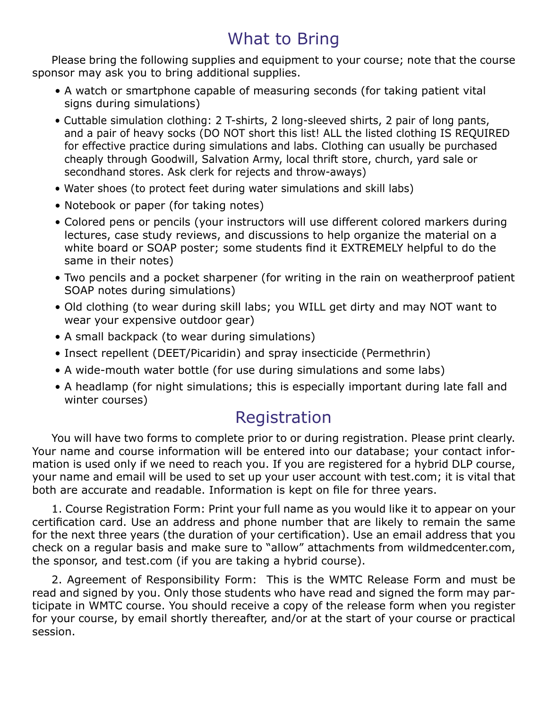# What to Bring

Please bring the following supplies and equipment to your course; note that the course sponsor may ask you to bring additional supplies.

- A watch or smartphone capable of measuring seconds (for taking patient vital signs during simulations)
- Cuttable simulation clothing: 2 T-shirts, 2 long-sleeved shirts, 2 pair of long pants, and a pair of heavy socks (DO NOT short this list! ALL the listed clothing IS REQUIRED for effective practice during simulations and labs. Clothing can usually be purchased cheaply through Goodwill, Salvation Army, local thrift store, church, yard sale or secondhand stores. Ask clerk for rejects and throw-aways)
- Water shoes (to protect feet during water simulations and skill labs)
- Notebook or paper (for taking notes)
- Colored pens or pencils (your instructors will use different colored markers during lectures, case study reviews, and discussions to help organize the material on a white board or SOAP poster; some students find it EXTREMELY helpful to do the same in their notes)
- Two pencils and a pocket sharpener (for writing in the rain on weatherproof patient SOAP notes during simulations)
- Old clothing (to wear during skill labs; you WILL get dirty and may NOT want to wear your expensive outdoor gear)
- A small backpack (to wear during simulations)
- Insect repellent (DEET/Picaridin) and spray insecticide (Permethrin)
- A wide-mouth water bottle (for use during simulations and some labs)
- A headlamp (for night simulations; this is especially important during late fall and winter courses)

### Registration

You will have two forms to complete prior to or during registration. Please print clearly. Your name and course information will be entered into our database; your contact information is used only if we need to reach you. If you are registered for a hybrid DLP course, your name and email will be used to set up your user account with test.com; it is vital that both are accurate and readable. Information is kept on file for three years.

1. Course Registration Form: Print your full name as you would like it to appear on your certification card. Use an address and phone number that are likely to remain the same for the next three years (the duration of your certification). Use an email address that you check on a regular basis and make sure to "allow" attachments from wildmedcenter.com, the sponsor, and test.com (if you are taking a hybrid course).

2. Agreement of Responsibility Form: This is the WMTC Release Form and must be read and signed by you. Only those students who have read and signed the form may participate in WMTC course. You should receive a copy of the release form when you register for your course, by email shortly thereafter, and/or at the start of your course or practical session.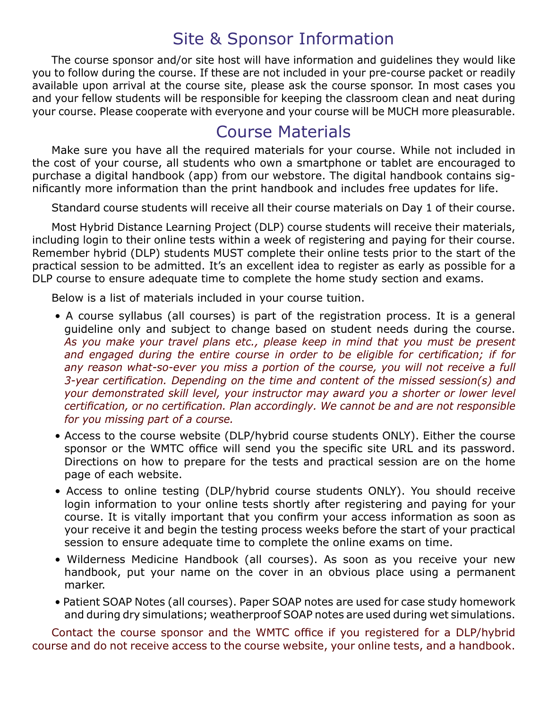# Site & Sponsor Information

The course sponsor and/or site host will have information and guidelines they would like you to follow during the course. If these are not included in your pre-course packet or readily available upon arrival at the course site, please ask the course sponsor. In most cases you and your fellow students will be responsible for keeping the classroom clean and neat during your course. Please cooperate with everyone and your course will be MUCH more pleasurable.

### Course Materials

Make sure you have all the required materials for your course. While not included in the cost of your course, all students who own a smartphone or tablet are encouraged to purchase a digital handbook (app) from our webstore. The digital handbook contains significantly more information than the print handbook and includes free updates for life.

Standard course students will receive all their course materials on Day 1 of their course.

Most Hybrid Distance Learning Project (DLP) course students will receive their materials, including login to their online tests within a week of registering and paying for their course. Remember hybrid (DLP) students MUST complete their online tests prior to the start of the practical session to be admitted. It's an excellent idea to register as early as possible for a DLP course to ensure adequate time to complete the home study section and exams.

Below is a list of materials included in your course tuition.

- A course syllabus (all courses) is part of the registration process. It is a general guideline only and subject to change based on student needs during the course. *As you make your travel plans etc., please keep in mind that you must be present and engaged during the entire course in order to be eligible for certification; if for*  any reason what-so-ever you miss a portion of the course, you will not receive a full *3-year certification. Depending on the time and content of the missed session(s) and your demonstrated skill level, your instructor may award you a shorter or lower level certification, or no certification. Plan accordingly. We cannot be and are not responsible for you missing part of a course.*
- Access to the course website (DLP/hybrid course students ONLY). Either the course sponsor or the WMTC office will send you the specific site URL and its password. Directions on how to prepare for the tests and practical session are on the home page of each website.
- Access to online testing (DLP/hybrid course students ONLY). You should receive login information to your online tests shortly after registering and paying for your course. It is vitally important that you confirm your access information as soon as your receive it and begin the testing process weeks before the start of your practical session to ensure adequate time to complete the online exams on time.
- Wilderness Medicine Handbook (all courses). As soon as you receive your new handbook, put your name on the cover in an obvious place using a permanent marker.
- Patient SOAP Notes (all courses). Paper SOAP notes are used for case study homework and during dry simulations; weatherproof SOAP notes are used during wet simulations.

Contact the course sponsor and the WMTC office if you registered for a DLP/hybrid course and do not receive access to the course website, your online tests, and a handbook.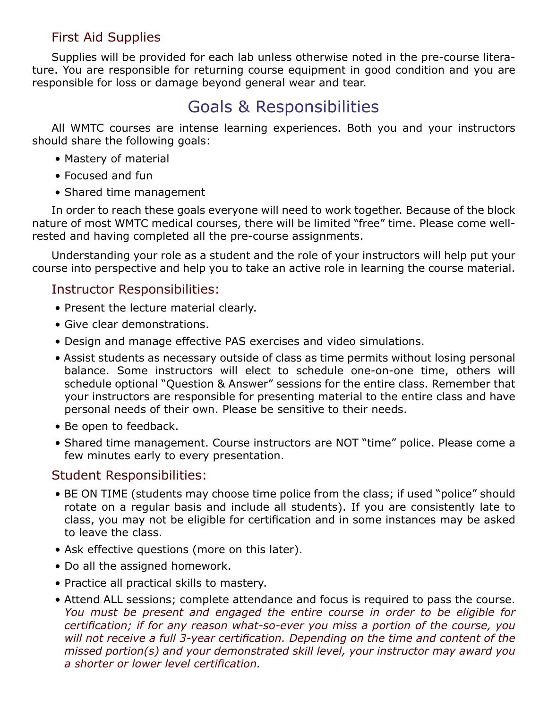### First Aid Supplies

Supplies will be provided for each lab unless otherwise noted in the pre-course literature. You are responsible for returning course equipment in good condition and you are responsible for loss or damage beyond general wear and tear.

# Goals & Responsibilities

All WMTC courses are intense learning experiences. Both you and your instructors should share the following goals:

- Mastery of material
- Focused and fun
- Shared time management

In order to reach these goals everyone will need to work together. Because of the block nature of most WMTC medical courses, there will be limited "free" time. Please come wellrested and having completed all the pre-course assignments.

Understanding your role as a student and the role of your instructors will help put your course into perspective and help you to take an active role in learning the course material.

#### Instructor Responsibilities:

- Present the lecture material clearly.
- Give clear demonstrations.
- Design and manage effective PAS exercises and video simulations.
- Assist students as necessary outside of class as time permits without losing personal balance. Some instructors will elect to schedule one-on-one time, others will schedule optional "Question & Answer" sessions for the entire class. Remember that your instructors are responsible for presenting material to the entire class and have personal needs of their own. Please be sensitive to their needs.
- Be open to feedback.
- Shared time management. Course instructors are NOT "time" police. Please come a few minutes early to every presentation.

#### Student Responsibilities:

- BE ON TIME (students may choose time police from the class; if used "police" should rotate on a regular basis and include all students). If you are consistently late to class, you may not be eligible for certification and in some instances may be asked to leave the class.
- Ask effective questions (more on this later).
- Do all the assigned homework.
- Practice all practical skills to mastery.
- Attend ALL sessions; complete attendance and focus is required to pass the course. *You must be present and engaged the entire course in order to be eligible for certification; if for any reason what-so-ever you miss a portion of the course, you will not receive a full 3-year certification. Depending on the time and content of the missed portion(s) and your demonstrated skill level, your instructor may award you a shorter or lower level certification.*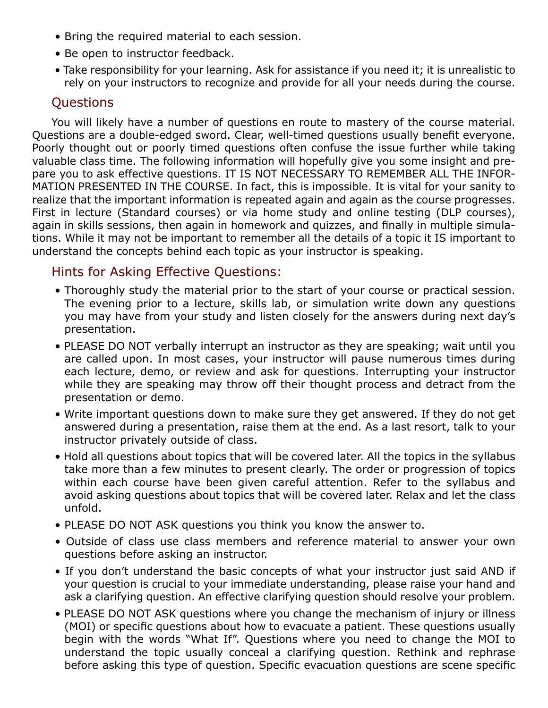- Bring the required material to each session.
- Be open to instructor feedback.
- Take responsibility for your learning. Ask for assistance if you need it; it is unrealistic to rely on your instructors to recognize and provide for all your needs during the course.

### **Ouestions**

You will likely have a number of questions en route to mastery of the course material. Questions are a double-edged sword. Clear, well-timed questions usually benefit everyone. Poorly thought out or poorly timed questions often confuse the issue further while taking valuable class time. The following information will hopefully give you some insight and prepare you to ask effective questions. IT IS NOT NECESSARY TO REMEMBER ALL THE INFOR-MATION PRESENTED IN THE COURSE. In fact, this is impossible. It is vital for your sanity to realize that the important information is repeated again and again as the course progresses. First in lecture (Standard courses) or via home study and online testing (DLP courses), again in skills sessions, then again in homework and quizzes, and finally in multiple simulations. While it may not be important to remember all the details of a topic it IS important to understand the concepts behind each topic as your instructor is speaking.

### Hints for Asking Effective Questions:

- Thoroughly study the material prior to the start of your course or practical session. The evening prior to a lecture, skills lab, or simulation write down any questions you may have from your study and listen closely for the answers during next day's presentation.
- PLEASE DO NOT verbally interrupt an instructor as they are speaking; wait until you are called upon. In most cases, your instructor will pause numerous times during each lecture, demo, or review and ask for questions. Interrupting your instructor while they are speaking may throw off their thought process and detract from the presentation or demo.
- Write important questions down to make sure they get answered. If they do not get answered during a presentation, raise them at the end. As a last resort, talk to your instructor privately outside of class.
- Hold all questions about topics that will be covered later. All the topics in the syllabus take more than a few minutes to present clearly. The order or progression of topics within each course have been given careful attention. Refer to the syllabus and avoid asking questions about topics that will be covered later. Relax and let the class unfold.
- PLEASE DO NOT ASK questions you think you know the answer to.
- Outside of class use class members and reference material to answer your own questions before asking an instructor.
- If you don't understand the basic concepts of what your instructor just said AND if your question is crucial to your immediate understanding, please raise your hand and ask a clarifying question. An effective clarifying question should resolve your problem.
- PLEASE DO NOT ASK questions where you change the mechanism of injury or illness (MOI) or specific questions about how to evacuate a patient. These questions usually begin with the words "What If". Questions where you need to change the MOI to understand the topic usually conceal a clarifying question. Rethink and rephrase before asking this type of question. Specific evacuation questions are scene specific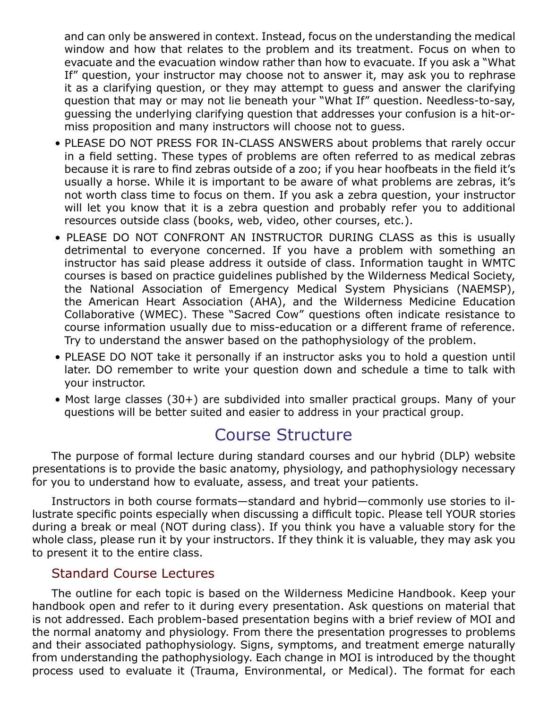and can only be answered in context. Instead, focus on the understanding the medical window and how that relates to the problem and its treatment. Focus on when to evacuate and the evacuation window rather than how to evacuate. If you ask a "What If" question, your instructor may choose not to answer it, may ask you to rephrase it as a clarifying question, or they may attempt to guess and answer the clarifying question that may or may not lie beneath your "What If" question. Needless-to-say, guessing the underlying clarifying question that addresses your confusion is a hit-ormiss proposition and many instructors will choose not to guess.

- PLEASE DO NOT PRESS FOR IN-CLASS ANSWERS about problems that rarely occur in a field setting. These types of problems are often referred to as medical zebras because it is rare to find zebras outside of a zoo; if you hear hoofbeats in the field it's usually a horse. While it is important to be aware of what problems are zebras, it's not worth class time to focus on them. If you ask a zebra question, your instructor will let you know that it is a zebra question and probably refer you to additional resources outside class (books, web, video, other courses, etc.).
- PLEASE DO NOT CONFRONT AN INSTRUCTOR DURING CLASS as this is usually detrimental to everyone concerned. If you have a problem with something an instructor has said please address it outside of class. Information taught in WMTC courses is based on practice guidelines published by the Wilderness Medical Society, the National Association of Emergency Medical System Physicians (NAEMSP), the American Heart Association (AHA), and the Wilderness Medicine Education Collaborative (WMEC). These "Sacred Cow" questions often indicate resistance to course information usually due to miss-education or a different frame of reference. Try to understand the answer based on the pathophysiology of the problem.
- PLEASE DO NOT take it personally if an instructor asks you to hold a question until later. DO remember to write your question down and schedule a time to talk with your instructor.
- Most large classes (30+) are subdivided into smaller practical groups. Many of your questions will be better suited and easier to address in your practical group.

### Course Structure

The purpose of formal lecture during standard courses and our hybrid (DLP) website presentations is to provide the basic anatomy, physiology, and pathophysiology necessary for you to understand how to evaluate, assess, and treat your patients.

Instructors in both course formats—standard and hybrid—commonly use stories to illustrate specific points especially when discussing a difficult topic. Please tell YOUR stories during a break or meal (NOT during class). If you think you have a valuable story for the whole class, please run it by your instructors. If they think it is valuable, they may ask you to present it to the entire class.

#### Standard Course Lectures

The outline for each topic is based on the Wilderness Medicine Handbook. Keep your handbook open and refer to it during every presentation. Ask questions on material that is not addressed. Each problem-based presentation begins with a brief review of MOI and the normal anatomy and physiology. From there the presentation progresses to problems and their associated pathophysiology. Signs, symptoms, and treatment emerge naturally from understanding the pathophysiology. Each change in MOI is introduced by the thought process used to evaluate it (Trauma, Environmental, or Medical). The format for each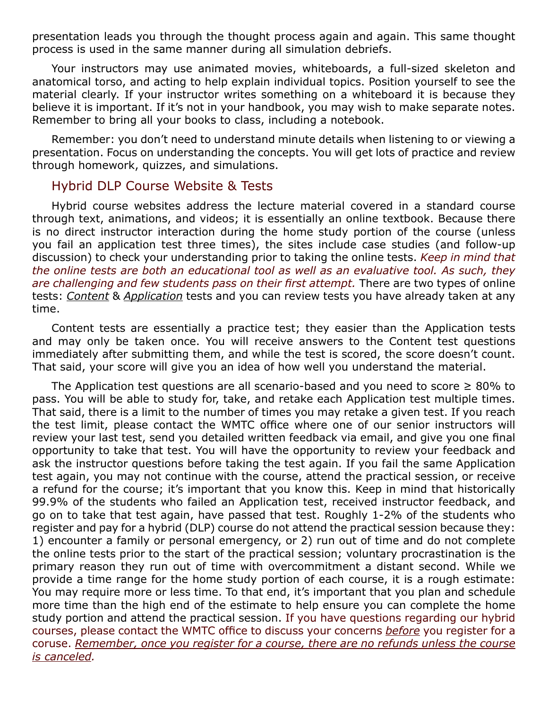presentation leads you through the thought process again and again. This same thought process is used in the same manner during all simulation debriefs.

Your instructors may use animated movies, whiteboards, a full-sized skeleton and anatomical torso, and acting to help explain individual topics. Position yourself to see the material clearly. If your instructor writes something on a whiteboard it is because they believe it is important. If it's not in your handbook, you may wish to make separate notes. Remember to bring all your books to class, including a notebook.

Remember: you don't need to understand minute details when listening to or viewing a presentation. Focus on understanding the concepts. You will get lots of practice and review through homework, quizzes, and simulations.

#### Hybrid DLP Course Website & Tests

Hybrid course websites address the lecture material covered in a standard course through text, animations, and videos; it is essentially an online textbook. Because there is no direct instructor interaction during the home study portion of the course (unless you fail an application test three times), the sites include case studies (and follow-up discussion) to check your understanding prior to taking the online tests. *Keep in mind that the online tests are both an educational tool as well as an evaluative tool. As such, they are challenging and few students pass on their first attempt.* There are two types of online tests: *Content* & *Application* tests and you can review tests you have already taken at any time.

Content tests are essentially a practice test; they easier than the Application tests and may only be taken once. You will receive answers to the Content test questions immediately after submitting them, and while the test is scored, the score doesn't count. That said, your score will give you an idea of how well you understand the material.

The Application test questions are all scenario-based and you need to score  $\geq 80\%$  to pass. You will be able to study for, take, and retake each Application test multiple times. That said, there is a limit to the number of times you may retake a given test. If you reach the test limit, please contact the WMTC office where one of our senior instructors will review your last test, send you detailed written feedback via email, and give you one final opportunity to take that test. You will have the opportunity to review your feedback and ask the instructor questions before taking the test again. If you fail the same Application test again, you may not continue with the course, attend the practical session, or receive a refund for the course; it's important that you know this. Keep in mind that historically 99.9% of the students who failed an Application test, received instructor feedback, and go on to take that test again, have passed that test. Roughly 1-2% of the students who register and pay for a hybrid (DLP) course do not attend the practical session because they: 1) encounter a family or personal emergency, or 2) run out of time and do not complete the online tests prior to the start of the practical session; voluntary procrastination is the primary reason they run out of time with overcommitment a distant second. While we provide a time range for the home study portion of each course, it is a rough estimate: You may require more or less time. To that end, it's important that you plan and schedule more time than the high end of the estimate to help ensure you can complete the home study portion and attend the practical session. If you have questions regarding our hybrid courses, please contact the WMTC office to discuss your concerns *before* you register for a coruse. *Remember, once you register for a course, there are no refunds unless the course is canceled.*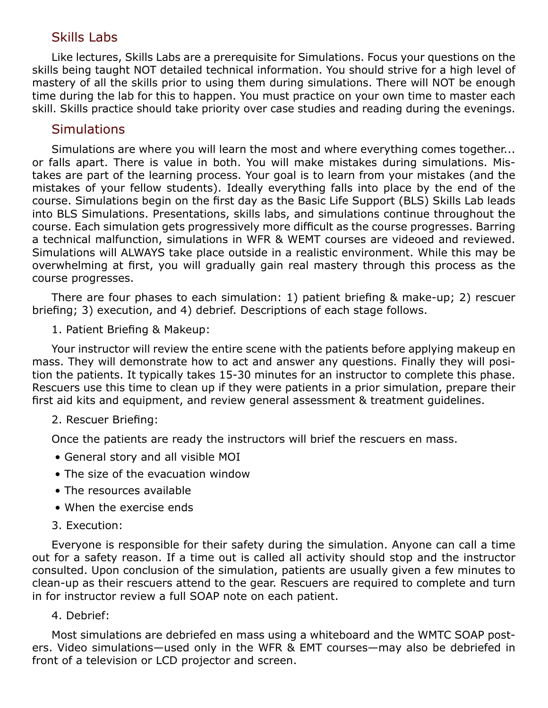#### Skills Labs

Like lectures, Skills Labs are a prerequisite for Simulations. Focus your questions on the skills being taught NOT detailed technical information. You should strive for a high level of mastery of all the skills prior to using them during simulations. There will NOT be enough time during the lab for this to happen. You must practice on your own time to master each skill. Skills practice should take priority over case studies and reading during the evenings.

#### **Simulations**

Simulations are where you will learn the most and where everything comes together... or falls apart. There is value in both. You will make mistakes during simulations. Mistakes are part of the learning process. Your goal is to learn from your mistakes (and the mistakes of your fellow students). Ideally everything falls into place by the end of the course. Simulations begin on the first day as the Basic Life Support (BLS) Skills Lab leads into BLS Simulations. Presentations, skills labs, and simulations continue throughout the course. Each simulation gets progressively more difficult as the course progresses. Barring a technical malfunction, simulations in WFR & WEMT courses are videoed and reviewed. Simulations will ALWAYS take place outside in a realistic environment. While this may be overwhelming at first, you will gradually gain real mastery through this process as the course progresses.

There are four phases to each simulation: 1) patient briefing & make-up; 2) rescuer briefing; 3) execution, and 4) debrief. Descriptions of each stage follows.

1. Patient Briefing & Makeup:

Your instructor will review the entire scene with the patients before applying makeup en mass. They will demonstrate how to act and answer any questions. Finally they will position the patients. It typically takes 15-30 minutes for an instructor to complete this phase. Rescuers use this time to clean up if they were patients in a prior simulation, prepare their first aid kits and equipment, and review general assessment & treatment guidelines.

#### 2. Rescuer Briefing:

Once the patients are ready the instructors will brief the rescuers en mass.

- General story and all visible MOI
- The size of the evacuation window
- The resources available
- When the exercise ends
- 3. Execution:

Everyone is responsible for their safety during the simulation. Anyone can call a time out for a safety reason. If a time out is called all activity should stop and the instructor consulted. Upon conclusion of the simulation, patients are usually given a few minutes to clean-up as their rescuers attend to the gear. Rescuers are required to complete and turn in for instructor review a full SOAP note on each patient.

#### 4. Debrief:

Most simulations are debriefed en mass using a whiteboard and the WMTC SOAP posters. Video simulations—used only in the WFR & EMT courses—may also be debriefed in front of a television or LCD projector and screen.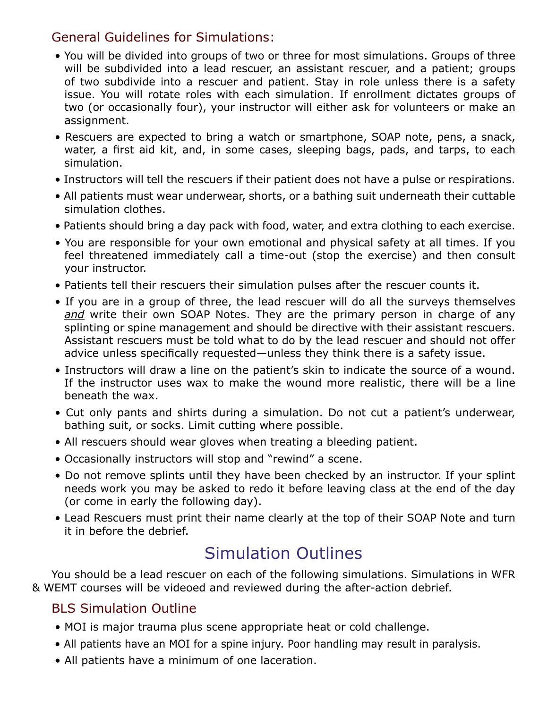#### General Guidelines for Simulations:

- You will be divided into groups of two or three for most simulations. Groups of three will be subdivided into a lead rescuer, an assistant rescuer, and a patient; groups of two subdivide into a rescuer and patient. Stay in role unless there is a safety issue. You will rotate roles with each simulation. If enrollment dictates groups of two (or occasionally four), your instructor will either ask for volunteers or make an assignment.
- Rescuers are expected to bring a watch or smartphone, SOAP note, pens, a snack, water, a first aid kit, and, in some cases, sleeping bags, pads, and tarps, to each simulation.
- Instructors will tell the rescuers if their patient does not have a pulse or respirations.
- All patients must wear underwear, shorts, or a bathing suit underneath their cuttable simulation clothes.
- Patients should bring a day pack with food, water, and extra clothing to each exercise.
- You are responsible for your own emotional and physical safety at all times. If you feel threatened immediately call a time-out (stop the exercise) and then consult your instructor.
- Patients tell their rescuers their simulation pulses after the rescuer counts it.
- If you are in a group of three, the lead rescuer will do all the surveys themselves *and* write their own SOAP Notes. They are the primary person in charge of any splinting or spine management and should be directive with their assistant rescuers. Assistant rescuers must be told what to do by the lead rescuer and should not offer advice unless specifically requested—unless they think there is a safety issue.
- Instructors will draw a line on the patient's skin to indicate the source of a wound. If the instructor uses wax to make the wound more realistic, there will be a line beneath the wax.
- Cut only pants and shirts during a simulation. Do not cut a patient's underwear, bathing suit, or socks. Limit cutting where possible.
- All rescuers should wear gloves when treating a bleeding patient.
- Occasionally instructors will stop and "rewind" a scene.
- Do not remove splints until they have been checked by an instructor. If your splint needs work you may be asked to redo it before leaving class at the end of the day (or come in early the following day).
- Lead Rescuers must print their name clearly at the top of their SOAP Note and turn it in before the debrief.

# Simulation Outlines

You should be a lead rescuer on each of the following simulations. Simulations in WFR & WEMT courses will be videoed and reviewed during the after-action debrief.

### BLS Simulation Outline

- MOI is major trauma plus scene appropriate heat or cold challenge.
- All patients have an MOI for a spine injury. Poor handling may result in paralysis.
- All patients have a minimum of one laceration.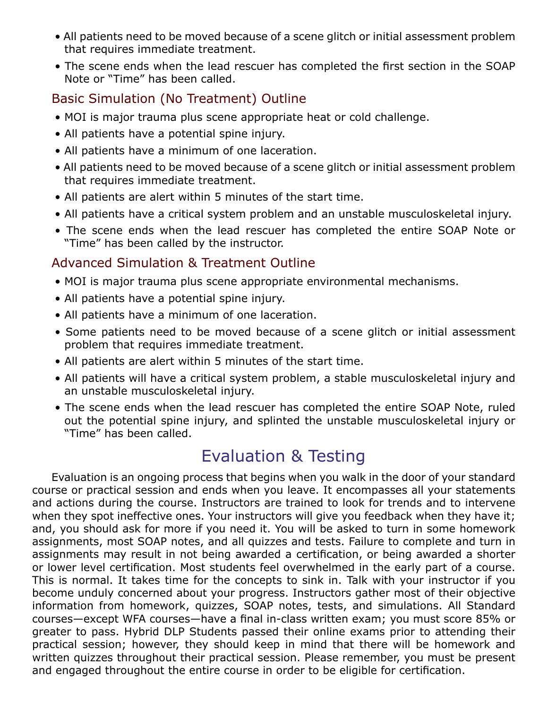- All patients need to be moved because of a scene glitch or initial assessment problem that requires immediate treatment.
- The scene ends when the lead rescuer has completed the first section in the SOAP Note or "Time" has been called.

### Basic Simulation (No Treatment) Outline

- MOI is major trauma plus scene appropriate heat or cold challenge.
- All patients have a potential spine injury.
- All patients have a minimum of one laceration.
- All patients need to be moved because of a scene glitch or initial assessment problem that requires immediate treatment.
- All patients are alert within 5 minutes of the start time.
- All patients have a critical system problem and an unstable musculoskeletal injury.
- The scene ends when the lead rescuer has completed the entire SOAP Note or "Time" has been called by the instructor.

### Advanced Simulation & Treatment Outline

- MOI is major trauma plus scene appropriate environmental mechanisms.
- All patients have a potential spine injury.
- All patients have a minimum of one laceration.
- Some patients need to be moved because of a scene glitch or initial assessment problem that requires immediate treatment.
- All patients are alert within 5 minutes of the start time.
- All patients will have a critical system problem, a stable musculoskeletal injury and an unstable musculoskeletal injury.
- The scene ends when the lead rescuer has completed the entire SOAP Note, ruled out the potential spine injury, and splinted the unstable musculoskeletal injury or "Time" has been called.

# Evaluation & Testing

Evaluation is an ongoing process that begins when you walk in the door of your standard course or practical session and ends when you leave. It encompasses all your statements and actions during the course. Instructors are trained to look for trends and to intervene when they spot ineffective ones. Your instructors will give you feedback when they have it; and, you should ask for more if you need it. You will be asked to turn in some homework assignments, most SOAP notes, and all quizzes and tests. Failure to complete and turn in assignments may result in not being awarded a certification, or being awarded a shorter or lower level certification. Most students feel overwhelmed in the early part of a course. This is normal. It takes time for the concepts to sink in. Talk with your instructor if you become unduly concerned about your progress. Instructors gather most of their objective information from homework, quizzes, SOAP notes, tests, and simulations. All Standard courses—except WFA courses—have a final in-class written exam; you must score 85% or greater to pass. Hybrid DLP Students passed their online exams prior to attending their practical session; however, they should keep in mind that there will be homework and written quizzes throughout their practical session. Please remember, you must be present and engaged throughout the entire course in order to be eligible for certification.